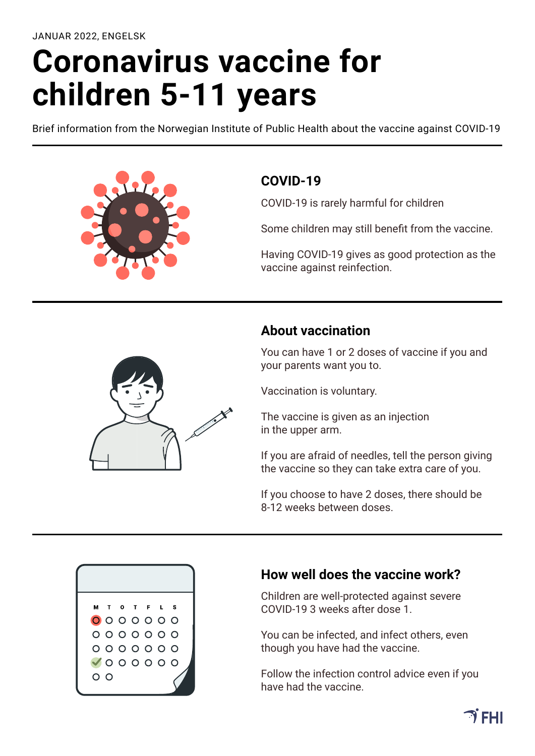# **Coronavirus vaccine for children 5-11 years**

Brief information from the Norwegian Institute of Public Health about the vaccine against COVID-19



### **COVID-19**

COVID-19 is rarely harmful for children

Some children may still benefit from the vaccine.

Having COVID-19 gives as good protection as the vaccine against reinfection.



## **About vaccination**

You can have 1 or 2 doses of vaccine if you and your parents want you to.

Vaccination is voluntary.

The vaccine is given as an injection in the upper arm.

If you are afraid of needles, tell the person giving the vaccine so they can take extra care of you.

If you choose to have 2 doses, there should be 8-12 weeks between doses.



#### **How well does the vaccine work?**

Children are well-protected against severe COVID-19 3 weeks after dose 1.

You can be infected, and infect others, even though you have had the vaccine.

Follow the infection control advice even if you have had the vaccine.